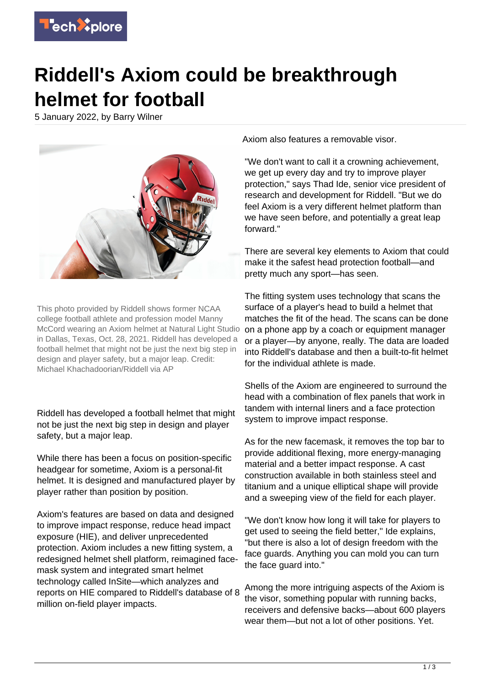

## **Riddell's Axiom could be breakthrough helmet for football**

5 January 2022, by Barry Wilner



This photo provided by Riddell shows former NCAA college football athlete and profession model Manny McCord wearing an Axiom helmet at Natural Light Studio in Dallas, Texas, Oct. 28, 2021. Riddell has developed a football helmet that might not be just the next big step in design and player safety, but a major leap. Credit: Michael Khachadoorian/Riddell via AP

Riddell has developed a football helmet that might not be just the next big step in design and player safety, but a major leap.

While there has been a focus on position-specific headgear for sometime, Axiom is a personal-fit helmet. It is designed and manufactured player by player rather than position by position.

Axiom's features are based on data and designed to improve impact response, reduce head impact exposure (HIE), and deliver unprecedented protection. Axiom includes a new fitting system, a redesigned helmet shell platform, reimagined facemask system and integrated smart helmet technology called InSite—which analyzes and reports on HIE compared to Riddell's database of 8 million on-field player impacts.

Axiom also features a removable visor.

"We don't want to call it a crowning achievement, we get up every day and try to improve player protection," says Thad Ide, senior vice president of research and development for Riddell. "But we do feel Axiom is a very different helmet platform than we have seen before, and potentially a great leap forward."

There are several key elements to Axiom that could make it the safest head protection football—and pretty much any sport—has seen.

The fitting system uses technology that scans the surface of a player's head to build a helmet that matches the fit of the head. The scans can be done on a phone app by a coach or equipment manager or a player—by anyone, really. The data are loaded into Riddell's database and then a built-to-fit helmet for the individual athlete is made.

Shells of the Axiom are engineered to surround the head with a combination of flex panels that work in tandem with internal liners and a face protection system to improve impact response.

As for the new facemask, it removes the top bar to provide additional flexing, more energy-managing material and a better impact response. A cast construction available in both stainless steel and titanium and a unique elliptical shape will provide and a sweeping view of the field for each player.

"We don't know how long it will take for players to get used to seeing the field better," Ide explains, "but there is also a lot of design freedom with the face guards. Anything you can mold you can turn the face guard into."

Among the more intriguing aspects of the Axiom is the visor, something popular with running backs, receivers and defensive backs—about 600 players wear them—but not a lot of other positions. Yet.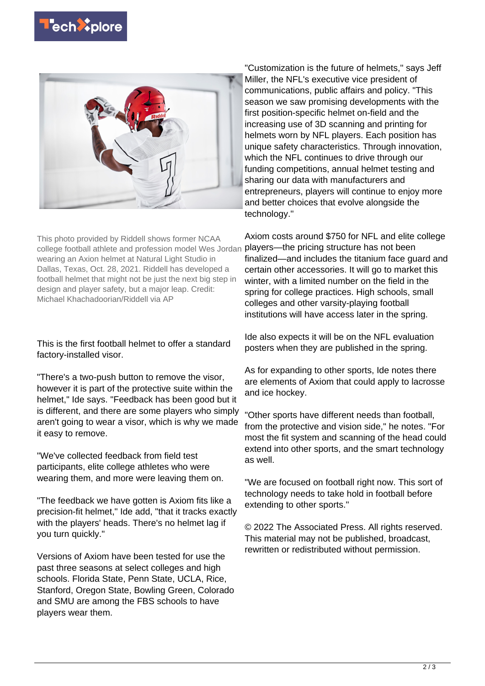



This photo provided by Riddell shows former NCAA college football athlete and profession model Wes Jordan wearing an Axion helmet at Natural Light Studio in Dallas, Texas, Oct. 28, 2021. Riddell has developed a football helmet that might not be just the next big step in design and player safety, but a major leap. Credit: Michael Khachadoorian/Riddell via AP

This is the first football helmet to offer a standard factory-installed visor.

"There's a two-push button to remove the visor, however it is part of the protective suite within the helmet," Ide says. "Feedback has been good but it is different, and there are some players who simply aren't going to wear a visor, which is why we made it easy to remove.

"We've collected feedback from field test participants, elite college athletes who were wearing them, and more were leaving them on.

"The feedback we have gotten is Axiom fits like a precision-fit helmet," Ide add, "that it tracks exactly with the players' heads. There's no helmet lag if you turn quickly."

Versions of Axiom have been tested for use the past three seasons at select colleges and high schools. Florida State, Penn State, UCLA, Rice, Stanford, Oregon State, Bowling Green, Colorado and SMU are among the FBS schools to have players wear them.

"Customization is the future of helmets," says Jeff Miller, the NFL's executive vice president of communications, public affairs and policy. "This season we saw promising developments with the first position-specific helmet on-field and the increasing use of 3D scanning and printing for helmets worn by NFL players. Each position has unique safety characteristics. Through innovation, which the NFL continues to drive through our funding competitions, annual helmet testing and sharing our data with manufacturers and entrepreneurs, players will continue to enjoy more and better choices that evolve alongside the technology."

Axiom costs around \$750 for NFL and elite college players—the pricing structure has not been finalized—and includes the titanium face guard and certain other accessories. It will go to market this winter, with a limited number on the field in the spring for college practices. High schools, small colleges and other varsity-playing football institutions will have access later in the spring.

Ide also expects it will be on the NFL evaluation posters when they are published in the spring.

As for expanding to other sports, Ide notes there are elements of Axiom that could apply to lacrosse and ice hockey.

"Other sports have different needs than football, from the protective and vision side," he notes. "For most the fit system and scanning of the head could extend into other sports, and the smart technology as well.

"We are focused on football right now. This sort of technology needs to take hold in football before extending to other sports."

© 2022 The Associated Press. All rights reserved. This material may not be published, broadcast, rewritten or redistributed without permission.